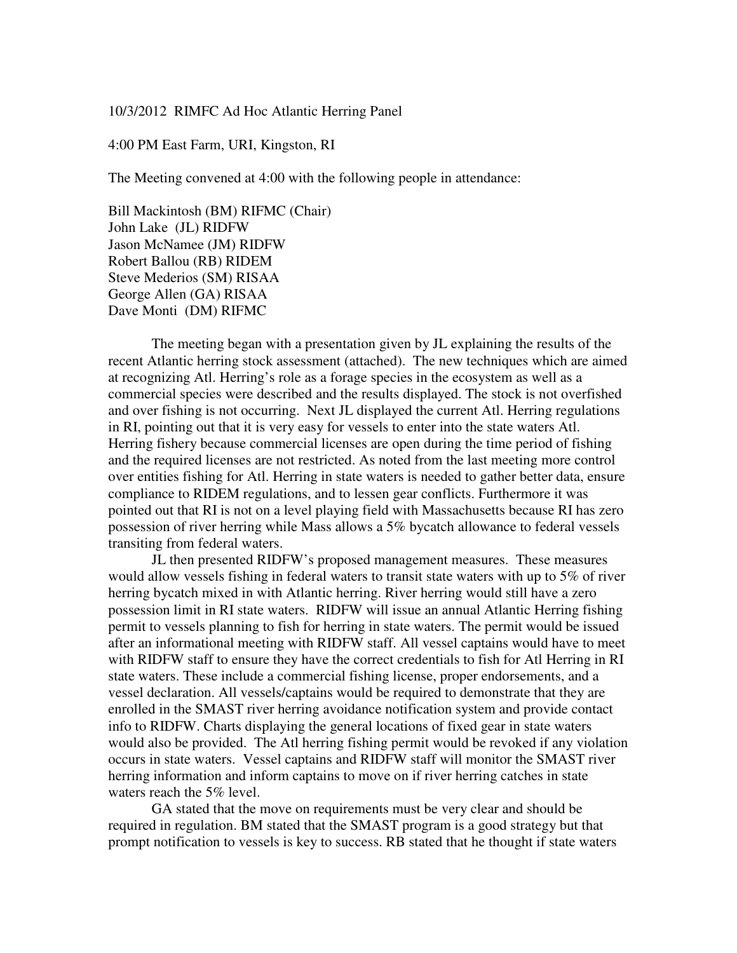### 10/3/2012 RIMFC Ad Hoc Atlantic Herring Panel

#### 4:00 PM East Farm, URI, Kingston, RI

The Meeting convened at 4:00 with the following people in attendance:

Bill Mackintosh (BM) RIFMC (Chair) John Lake (JL) RIDFW Jason McNamee (JM) RIDFW Robert Ballou (RB) RIDEM Steve Mederios (SM) RISAA George Allen (GA) RISAA Dave Monti (DM) RIFMC

 The meeting began with a presentation given by JL explaining the results of the recent Atlantic herring stock assessment (attached). The new techniques which are aimed at recognizing Atl. Herring's role as a forage species in the ecosystem as well as a commercial species were described and the results displayed. The stock is not overfished and over fishing is not occurring. Next JL displayed the current Atl. Herring regulations in RI, pointing out that it is very easy for vessels to enter into the state waters Atl. Herring fishery because commercial licenses are open during the time period of fishing and the required licenses are not restricted. As noted from the last meeting more control over entities fishing for Atl. Herring in state waters is needed to gather better data, ensure compliance to RIDEM regulations, and to lessen gear conflicts. Furthermore it was pointed out that RI is not on a level playing field with Massachusetts because RI has zero possession of river herring while Mass allows a 5% bycatch allowance to federal vessels transiting from federal waters.

JL then presented RIDFW's proposed management measures. These measures would allow vessels fishing in federal waters to transit state waters with up to 5% of river herring bycatch mixed in with Atlantic herring. River herring would still have a zero possession limit in RI state waters. RIDFW will issue an annual Atlantic Herring fishing permit to vessels planning to fish for herring in state waters. The permit would be issued after an informational meeting with RIDFW staff. All vessel captains would have to meet with RIDFW staff to ensure they have the correct credentials to fish for Atl Herring in RI state waters. These include a commercial fishing license, proper endorsements, and a vessel declaration. All vessels/captains would be required to demonstrate that they are enrolled in the SMAST river herring avoidance notification system and provide contact info to RIDFW. Charts displaying the general locations of fixed gear in state waters would also be provided. The Atl herring fishing permit would be revoked if any violation occurs in state waters. Vessel captains and RIDFW staff will monitor the SMAST river herring information and inform captains to move on if river herring catches in state waters reach the 5% level.

GA stated that the move on requirements must be very clear and should be required in regulation. BM stated that the SMAST program is a good strategy but that prompt notification to vessels is key to success. RB stated that he thought if state waters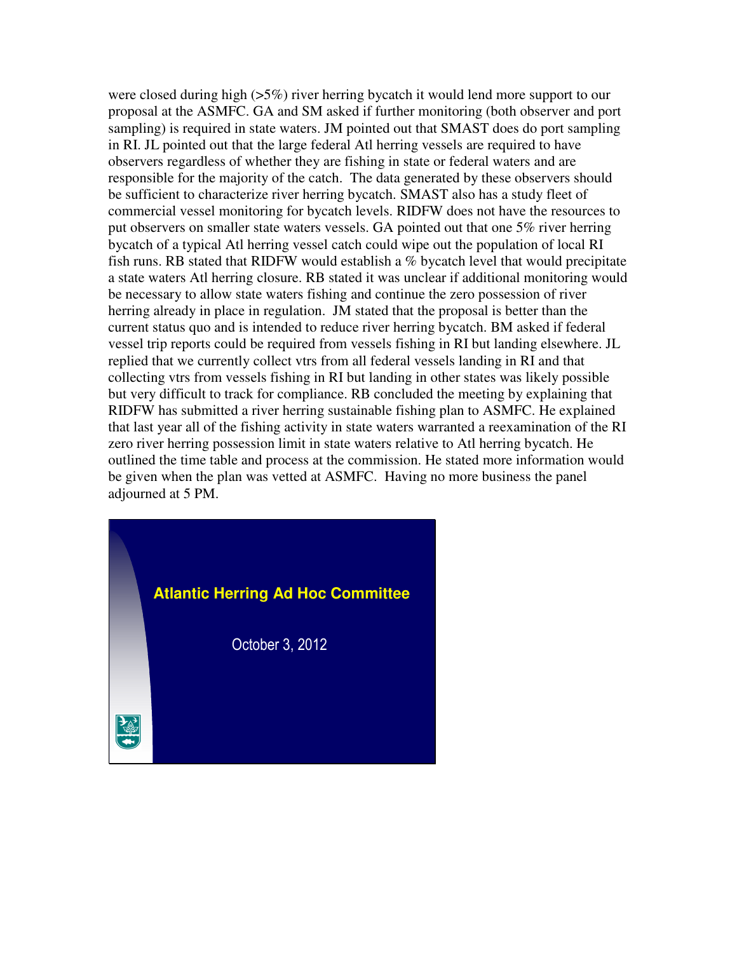were closed during high ( $>5\%$ ) river herring bycatch it would lend more support to our proposal at the ASMFC. GA and SM asked if further monitoring (both observer and port sampling) is required in state waters. JM pointed out that SMAST does do port sampling in RI. JL pointed out that the large federal Atl herring vessels are required to have observers regardless of whether they are fishing in state or federal waters and are responsible for the majority of the catch. The data generated by these observers should be sufficient to characterize river herring bycatch. SMAST also has a study fleet of commercial vessel monitoring for bycatch levels. RIDFW does not have the resources to put observers on smaller state waters vessels. GA pointed out that one 5% river herring bycatch of a typical Atl herring vessel catch could wipe out the population of local RI fish runs. RB stated that RIDFW would establish a % bycatch level that would precipitate a state waters Atl herring closure. RB stated it was unclear if additional monitoring would be necessary to allow state waters fishing and continue the zero possession of river herring already in place in regulation. JM stated that the proposal is better than the current status quo and is intended to reduce river herring bycatch. BM asked if federal vessel trip reports could be required from vessels fishing in RI but landing elsewhere. JL replied that we currently collect vtrs from all federal vessels landing in RI and that collecting vtrs from vessels fishing in RI but landing in other states was likely possible but very difficult to track for compliance. RB concluded the meeting by explaining that RIDFW has submitted a river herring sustainable fishing plan to ASMFC. He explained that last year all of the fishing activity in state waters warranted a reexamination of the RI zero river herring possession limit in state waters relative to Atl herring bycatch. He outlined the time table and process at the commission. He stated more information would be given when the plan was vetted at ASMFC. Having no more business the panel adjourned at 5 PM.

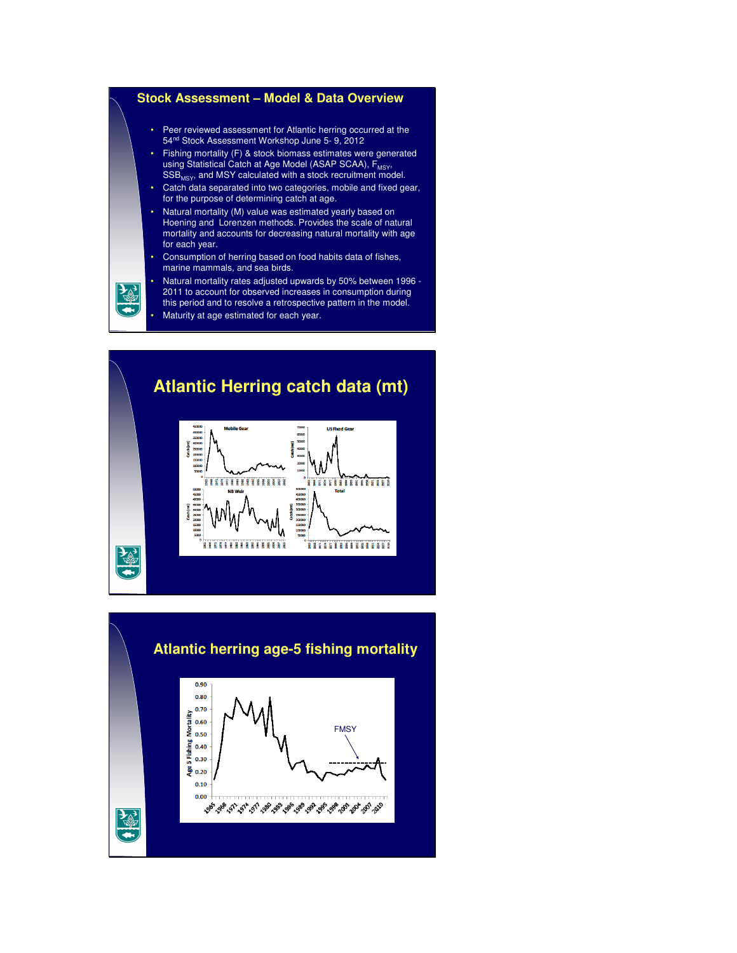



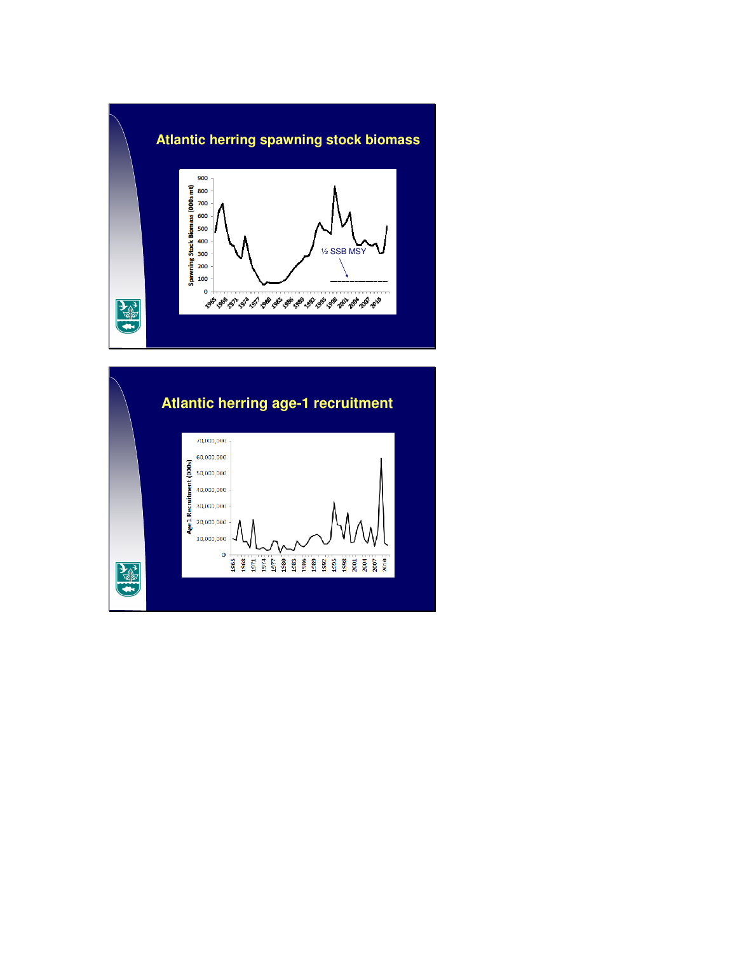

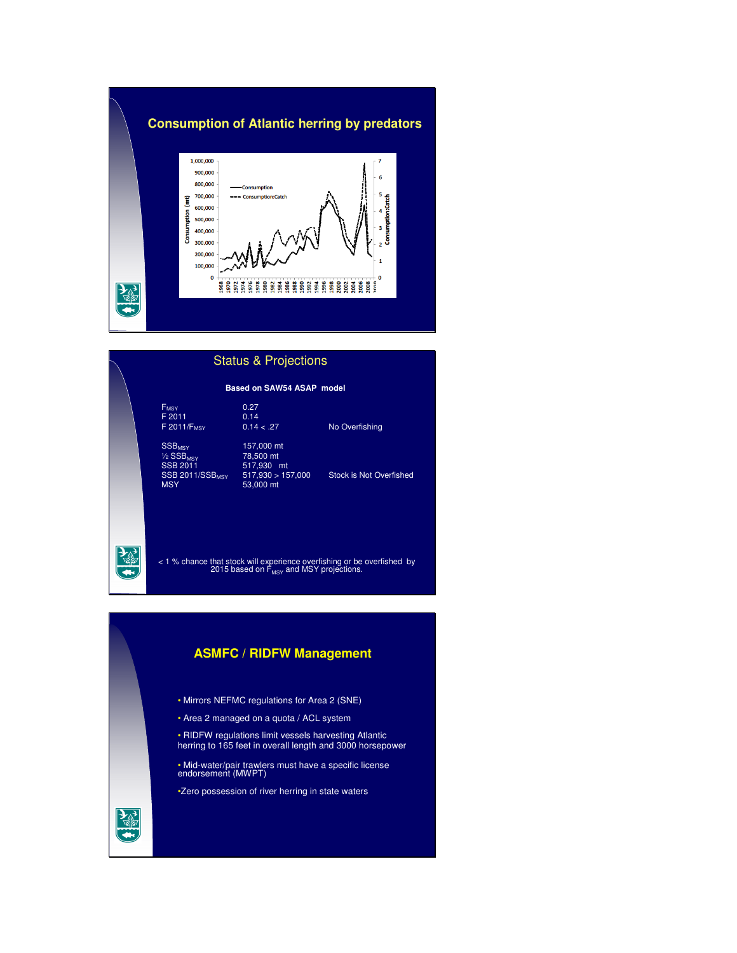## **Consumption of Atlantic herring by predators**



## FMSY 0.27 F 2011 0.14 F 2011/F<sub>MSY</sub> 0.14 < .27 No Overfishing 157,000 mt<br>78,500 mt SSB<sub>MSY</sub><br><sup>1/2</sup> SSB<sub>MSY</sub><br>SSB 2011 SSB 2011 517,930 mt<br>SSB 2011/SSB<sub>MSY</sub> 517,930 > 157,000  $SSB$  2011/SSB<sub>MSY</sub> 517,930 > 157,000 Stock is Not Overfished<br>MSY 53,000 mt 53,000 mt **Based on SAW54 ASAP model** Status & Projections

< 1 % chance that stock will experience overfishing or be overfished by<br>2015 based on F<sub>MSY</sub> and MSY projections.

## **ASMFC / RIDFW Management**

- Mirrors NEFMC regulations for Area 2 (SNE)
- Area 2 managed on a quota / ACL system
- RIDFW regulations limit vessels harvesting Atlantic herring to 165 feet in overall length and 3000 horsepower
- Mid-water/pair trawlers must have a specific license endorsement (MWPT)
- •Zero possession of river herring in state waters

# 高

 $\frac{1}{2}$